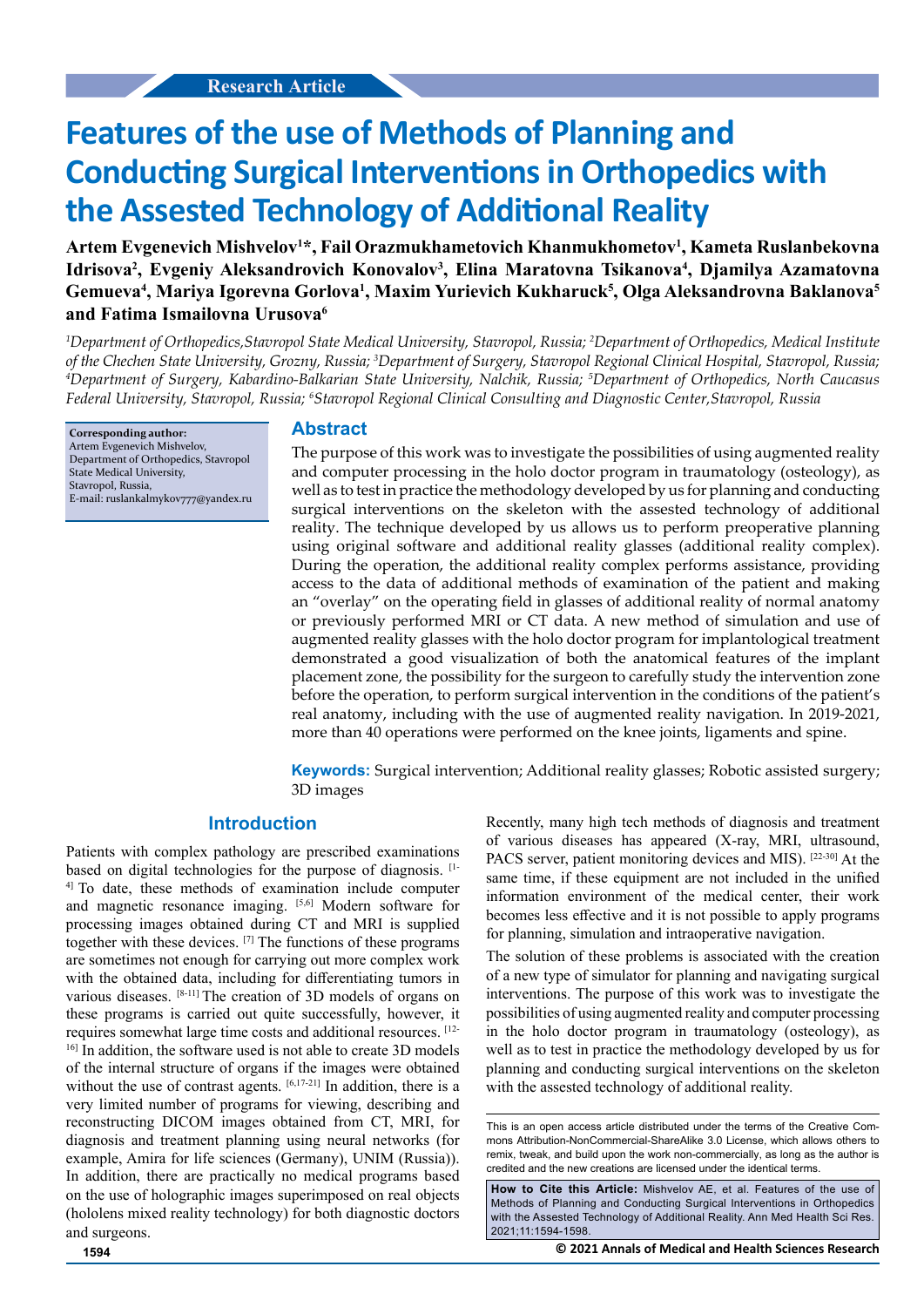# **Features of the use of Methods of Planning and Conducting Surgical Interventions in Orthopedics with the Assested Technology of Additional Reality**

**Artem Evgenevich Mishvelov1 \*, Fail Orazmukhametovich Khanmukhometov1 , Kameta Ruslanbekovna**  Idrisova<sup>2</sup>, Evgeniy Aleksandrovich Konovalov<sup>3</sup>, Elina Maratovna Tsikanova<sup>4</sup>, Djamilya Azamatovna **Gemueva4 , Mariya Igorevna Gorlova1 , Maxim Yurievich Kukharuck5 , Olga Aleksandrovna Baklanova5 and Fatima Ismailovna Urusova6**

*1 Department of Orthopedics,Stavropol State Medical University, Stavropol, Russia; 2 Department of Orthopedics, Medical Institute*  of the Chechen State University, Grozny, Russia; <sup>3</sup>Department of Surgery, Stavropol Regional Clinical Hospital, Stavropol, Russia;<br><sup>4</sup>Department of Surgery, Kabardino-Balkarian State University, Nalchik, Russia: <sup>5</sup>Depart *Department of Surgery, Kabardino-Balkarian State University, Nalchik, Russia; 5 Department of Orthopedics, North Caucasus Federal University, Stavropol, Russia; 6 Stavropol Regional Clinical Consulting and Diagnostic Center,Stavropol, Russia*

**Corresponding author:** Artem Evgenevich Mishvelov, Department of Orthopedics, Stavropol State Medical University, Stavropol, Russia, E-mail: ruslankalmykov777@yandex.ru

### **Abstract**

The purpose of this work was to investigate the possibilities of using augmented reality and computer processing in the holo doctor program in traumatology (osteology), as well as to test in practice the methodology developed by us for planning and conducting surgical interventions on the skeleton with the assested technology of additional reality. The technique developed by us allows us to perform preoperative planning using original software and additional reality glasses (additional reality complex). During the operation, the additional reality complex performs assistance, providing access to the data of additional methods of examination of the patient and making an "overlay" on the operating field in glasses of additional reality of normal anatomy or previously performed MRI or CT data. A new method of simulation and use of augmented reality glasses with the holo doctor program for implantological treatment demonstrated a good visualization of both the anatomical features of the implant placement zone, the possibility for the surgeon to carefully study the intervention zone before the operation, to perform surgical intervention in the conditions of the patient's real anatomy, including with the use of augmented reality navigation. In 2019-2021, more than 40 operations were performed on the knee joints, ligaments and spine.

**Keywords:** Surgical intervention; Additional reality glasses; Robotic assisted surgery; 3D images

### **Introduction**

Patients with complex pathology are prescribed examinations based on digital technologies for the purpose of diagnosis. <sup>[1-1</sup>] 4] To date, these methods of examination include computer and magnetic resonance imaging. [5,6] Modern software for processing images obtained during CT and MRI is supplied together with these devices. [7] The functions of these programs are sometimes not enough for carrying out more complex work with the obtained data, including for differentiating tumors in various diseases. [8-11] The creation of 3D models of organs on these programs is carried out quite successfully, however, it requires somewhat large time costs and additional resources. [12- <sup>16]</sup> In addition, the software used is not able to create 3D models of the internal structure of organs if the images were obtained without the use of contrast agents. [6,17-21] In addition, there is a very limited number of programs for viewing, describing and reconstructing DICOM images obtained from CT, MRI, for diagnosis and treatment planning using neural networks (for example, Amira for life sciences (Germany), UNIM (Russia)). In addition, there are practically no medical programs based on the use of holographic images superimposed on real objects (hololens mixed reality technology) for both diagnostic doctors and surgeons.

Recently, many high tech methods of diagnosis and treatment of various diseases has appeared (X-ray, MRI, ultrasound, PACS server, patient monitoring devices and MIS). [22-30] At the same time, if these equipment are not included in the unified information environment of the medical center, their work becomes less effective and it is not possible to apply programs for planning, simulation and intraoperative navigation.

The solution of these problems is associated with the creation of a new type of simulator for planning and navigating surgical interventions. The purpose of this work was to investigate the possibilities of using augmented reality and computer processing in the holo doctor program in traumatology (osteology), as well as to test in practice the methodology developed by us for planning and conducting surgical interventions on the skeleton with the assested technology of additional reality.

**How to Cite this Article:** Mishvelov AE, et al. Features of the use of Methods of Planning and Conducting Surgical Interventions in Orthopedics with the Assested Technology of Additional Reality. Ann Med Health Sci Res. 2021;11:1594-1598.

**1594 © 2021 Annals of Medical and Health Sciences Research** 

This is an open access article distributed under the terms of the Creative Commons Attribution-NonCommercial-ShareAlike 3.0 License, which allows others to remix, tweak, and build upon the work non-commercially, as long as the author is credited and the new creations are licensed under the identical terms.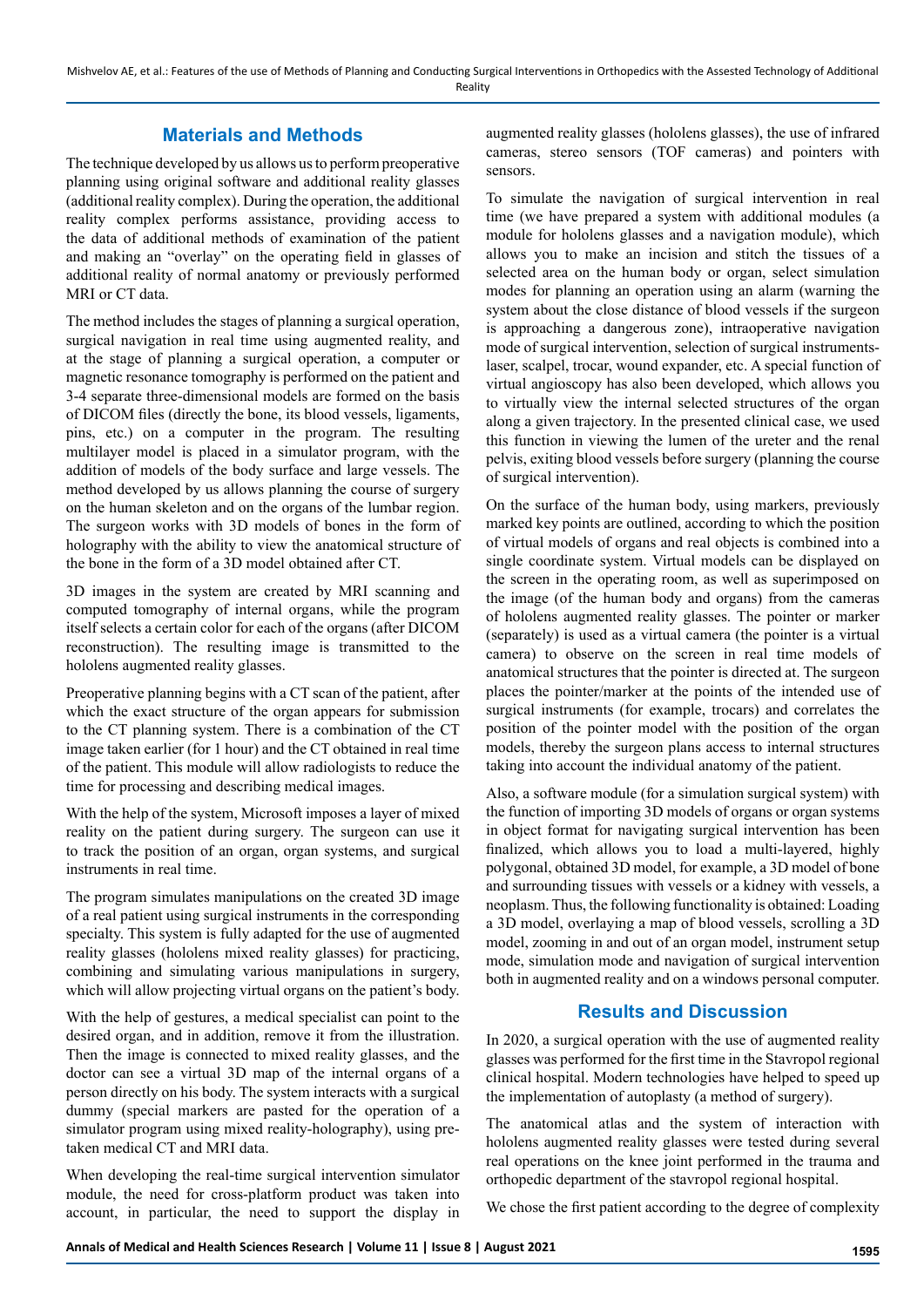# **Materials and Methods**

The technique developed by us allows us to perform preoperative planning using original software and additional reality glasses (additional reality complex). During the operation, the additional reality complex performs assistance, providing access to the data of additional methods of examination of the patient and making an "overlay" on the operating field in glasses of additional reality of normal anatomy or previously performed MRI or CT data.

The method includes the stages of planning a surgical operation, surgical navigation in real time using augmented reality, and at the stage of planning a surgical operation, a computer or magnetic resonance tomography is performed on the patient and 3-4 separate three-dimensional models are formed on the basis of DICOM files (directly the bone, its blood vessels, ligaments, pins, etc.) on a computer in the program. The resulting multilayer model is placed in a simulator program, with the addition of models of the body surface and large vessels. The method developed by us allows planning the course of surgery on the human skeleton and on the organs of the lumbar region. The surgeon works with 3D models of bones in the form of holography with the ability to view the anatomical structure of the bone in the form of a 3D model obtained after CT.

3D images in the system are created by MRI scanning and computed tomography of internal organs, while the program itself selects a certain color for each of the organs (after DICOM reconstruction). The resulting image is transmitted to the hololens augmented reality glasses.

Preoperative planning begins with a CT scan of the patient, after which the exact structure of the organ appears for submission to the CT planning system. There is a combination of the CT image taken earlier (for 1 hour) and the CT obtained in real time of the patient. This module will allow radiologists to reduce the time for processing and describing medical images.

With the help of the system, Microsoft imposes a layer of mixed reality on the patient during surgery. The surgeon can use it to track the position of an organ, organ systems, and surgical instruments in real time.

The program simulates manipulations on the created 3D image of a real patient using surgical instruments in the corresponding specialty. This system is fully adapted for the use of augmented reality glasses (hololens mixed reality glasses) for practicing, combining and simulating various manipulations in surgery, which will allow projecting virtual organs on the patient's body.

With the help of gestures, a medical specialist can point to the desired organ, and in addition, remove it from the illustration. Then the image is connected to mixed reality glasses, and the doctor can see a virtual 3D map of the internal organs of a person directly on his body. The system interacts with a surgical dummy (special markers are pasted for the operation of a simulator program using mixed reality-holography), using pretaken medical CT and MRI data.

When developing the real-time surgical intervention simulator module, the need for cross-platform product was taken into account, in particular, the need to support the display in

augmented reality glasses (hololens glasses), the use of infrared cameras, stereo sensors (TOF cameras) and pointers with sensors.

To simulate the navigation of surgical intervention in real time (we have prepared a system with additional modules (a module for hololens glasses and a navigation module), which allows you to make an incision and stitch the tissues of a selected area on the human body or organ, select simulation modes for planning an operation using an alarm (warning the system about the close distance of blood vessels if the surgeon is approaching a dangerous zone), intraoperative navigation mode of surgical intervention, selection of surgical instrumentslaser, scalpel, trocar, wound expander, etc. A special function of virtual angioscopy has also been developed, which allows you to virtually view the internal selected structures of the organ along a given trajectory. In the presented clinical case, we used this function in viewing the lumen of the ureter and the renal pelvis, exiting blood vessels before surgery (planning the course of surgical intervention).

On the surface of the human body, using markers, previously marked key points are outlined, according to which the position of virtual models of organs and real objects is combined into a single coordinate system. Virtual models can be displayed on the screen in the operating room, as well as superimposed on the image (of the human body and organs) from the cameras of hololens augmented reality glasses. The pointer or marker (separately) is used as a virtual camera (the pointer is a virtual camera) to observe on the screen in real time models of anatomical structures that the pointer is directed at. The surgeon places the pointer/marker at the points of the intended use of surgical instruments (for example, trocars) and correlates the position of the pointer model with the position of the organ models, thereby the surgeon plans access to internal structures taking into account the individual anatomy of the patient.

Also, a software module (for a simulation surgical system) with the function of importing 3D models of organs or organ systems in object format for navigating surgical intervention has been finalized, which allows you to load a multi-layered, highly polygonal, obtained 3D model, for example, a 3D model of bone and surrounding tissues with vessels or a kidney with vessels, a neoplasm. Thus, the following functionality is obtained: Loading a 3D model, overlaying a map of blood vessels, scrolling a 3D model, zooming in and out of an organ model, instrument setup mode, simulation mode and navigation of surgical intervention both in augmented reality and on a windows personal computer.

## **Results and Discussion**

In 2020, a surgical operation with the use of augmented reality glasses was performed for the first time in the Stavropol regional clinical hospital. Modern technologies have helped to speed up the implementation of autoplasty (a method of surgery).

The anatomical atlas and the system of interaction with hololens augmented reality glasses were tested during several real operations on the knee joint performed in the trauma and orthopedic department of the stavropol regional hospital.

We chose the first patient according to the degree of complexity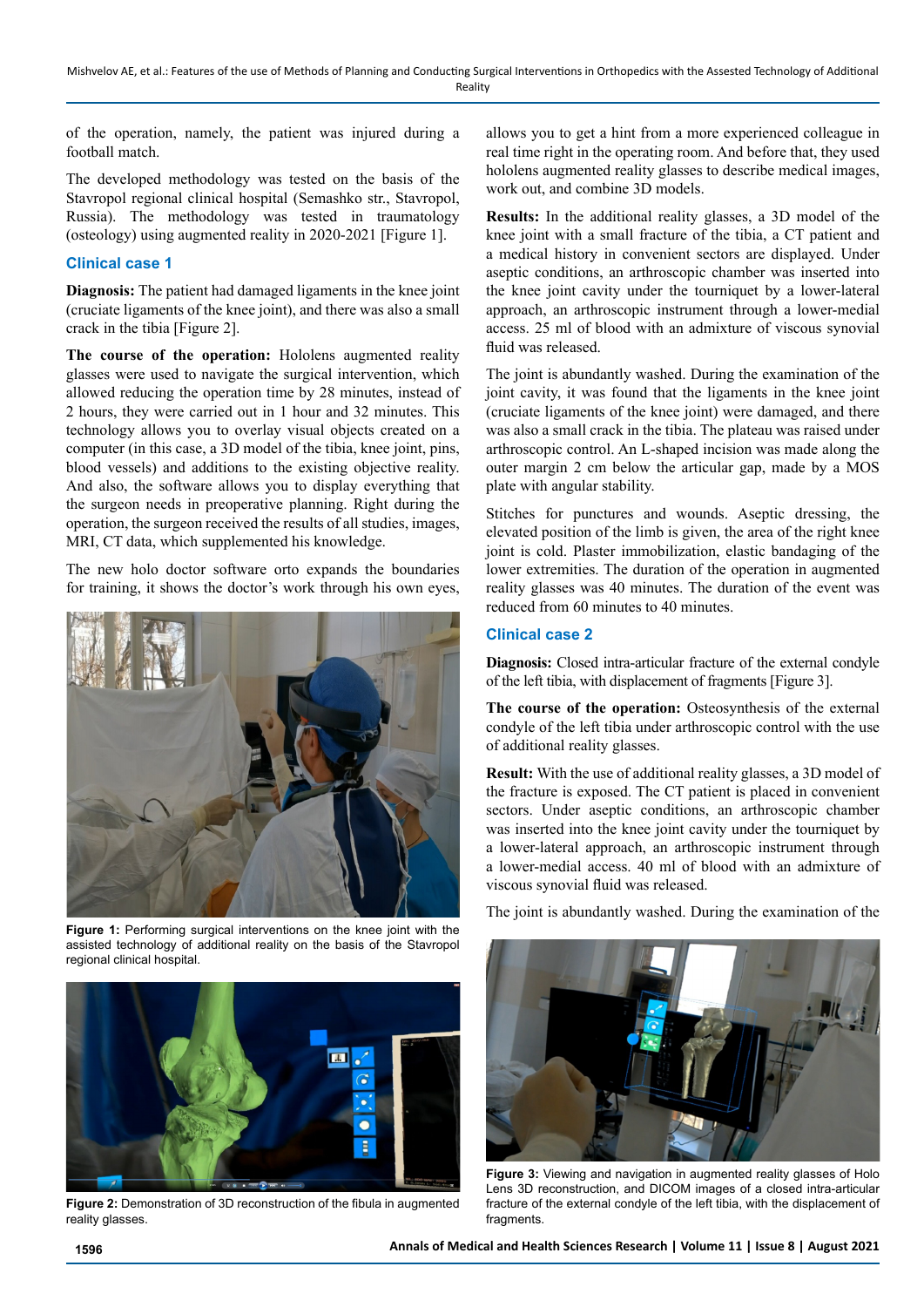of the operation, namely, the patient was injured during a football match.

The developed methodology was tested on the basis of the Stavropol regional clinical hospital (Semashko str., Stavropol, Russia). The methodology was tested in traumatology (osteology) using augmented reality in 2020-2021 [Figure 1].

#### **Clinical case 1**

**Diagnosis:** The patient had damaged ligaments in the knee joint (cruciate ligaments of the knee joint), and there was also a small crack in the tibia [Figure 2].

**The course of the operation:** Hololens augmented reality glasses were used to navigate the surgical intervention, which allowed reducing the operation time by 28 minutes, instead of 2 hours, they were carried out in 1 hour and 32 minutes. This technology allows you to overlay visual objects created on a computer (in this case, a 3D model of the tibia, knee joint, pins, blood vessels) and additions to the existing objective reality. And also, the software allows you to display everything that the surgeon needs in preoperative planning. Right during the operation, the surgeon received the results of all studies, images, MRI, CT data, which supplemented his knowledge.

The new holo doctor software orto expands the boundaries for training, it shows the doctor's work through his own eyes,



**Figure 1:** Performing surgical interventions on the knee joint with the assisted technology of additional reality on the basis of the Stavropol regional clinical hospital.



**Figure 2:** Demonstration of 3D reconstruction of the fibula in augmented reality glasses.

allows you to get a hint from a more experienced colleague in real time right in the operating room. And before that, they used hololens augmented reality glasses to describe medical images, work out, and combine 3D models.

**Results:** In the additional reality glasses, a 3D model of the knee joint with a small fracture of the tibia, a CT patient and a medical history in convenient sectors are displayed. Under aseptic conditions, an arthroscopic chamber was inserted into the knee joint cavity under the tourniquet by a lower-lateral approach, an arthroscopic instrument through a lower-medial access. 25 ml of blood with an admixture of viscous synovial fluid was released.

The joint is abundantly washed. During the examination of the joint cavity, it was found that the ligaments in the knee joint (cruciate ligaments of the knee joint) were damaged, and there was also a small crack in the tibia. The plateau was raised under arthroscopic control. An L-shaped incision was made along the outer margin 2 cm below the articular gap, made by a MOS plate with angular stability.

Stitches for punctures and wounds. Aseptic dressing, the elevated position of the limb is given, the area of the right knee joint is cold. Plaster immobilization, elastic bandaging of the lower extremities. The duration of the operation in augmented reality glasses was 40 minutes. The duration of the event was reduced from 60 minutes to 40 minutes.

#### **Clinical case 2**

**Diagnosis:** Closed intra-articular fracture of the external condyle of the left tibia, with displacement of fragments [Figure 3].

**The course of the operation:** Osteosynthesis of the external condyle of the left tibia under arthroscopic control with the use of additional reality glasses.

**Result:** With the use of additional reality glasses, a 3D model of the fracture is exposed. The CT patient is placed in convenient sectors. Under aseptic conditions, an arthroscopic chamber was inserted into the knee joint cavity under the tourniquet by a lower-lateral approach, an arthroscopic instrument through a lower-medial access. 40 ml of blood with an admixture of viscous synovial fluid was released.

The joint is abundantly washed. During the examination of the



**Figure 3:** Viewing and navigation in augmented reality glasses of Holo Lens 3D reconstruction, and DICOM images of a closed intra-articular fracture of the external condyle of the left tibia, with the displacement of fragments.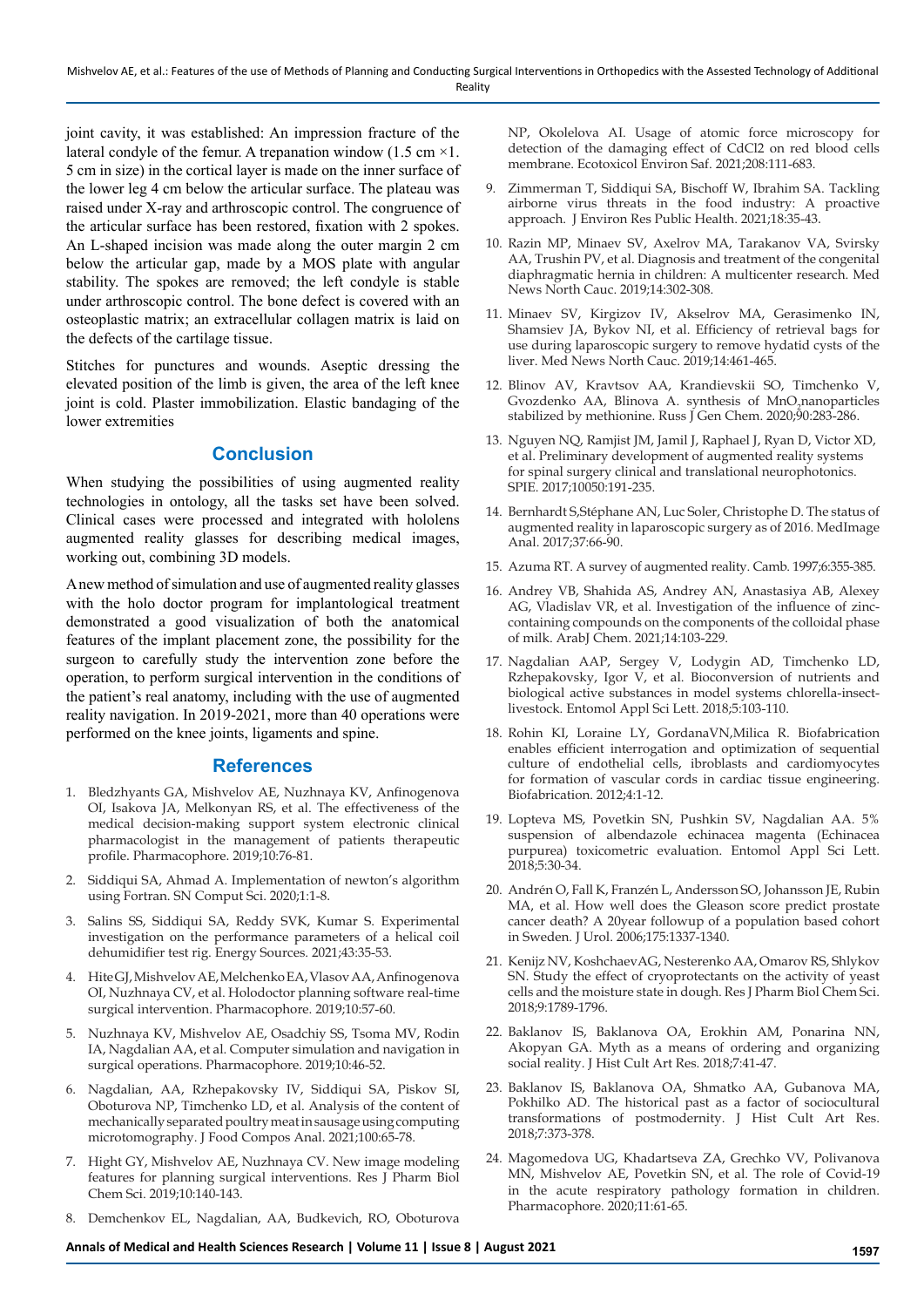joint cavity, it was established: An impression fracture of the lateral condyle of the femur. A trepanation window (1.5 cm  $\times$ 1. 5 cm in size) in the cortical layer is made on the inner surface of the lower leg 4 cm below the articular surface. The plateau was raised under X-ray and arthroscopic control. The congruence of the articular surface has been restored, fixation with 2 spokes. An L-shaped incision was made along the outer margin 2 cm below the articular gap, made by a MOS plate with angular stability. The spokes are removed; the left condyle is stable under arthroscopic control. The bone defect is covered with an osteoplastic matrix; an extracellular collagen matrix is laid on the defects of the cartilage tissue.

Stitches for punctures and wounds. Aseptic dressing the elevated position of the limb is given, the area of the left knee joint is cold. Plaster immobilization. Elastic bandaging of the lower extremities

## **Conclusion**

When studying the possibilities of using augmented reality technologies in ontology, all the tasks set have been solved. Clinical cases were processed and integrated with hololens augmented reality glasses for describing medical images, working out, combining 3D models.

A new method of simulation and use of augmented reality glasses with the holo doctor program for implantological treatment demonstrated a good visualization of both the anatomical features of the implant placement zone, the possibility for the surgeon to carefully study the intervention zone before the operation, to perform surgical intervention in the conditions of the patient's real anatomy, including with the use of augmented reality navigation. In 2019-2021, more than 40 operations were performed on the knee joints, ligaments and spine.

#### **References**

- 1. Bledzhyants GA, Mishvelov AE, Nuzhnaya KV, Anfinogenova OI, Isakova JA, Melkonyan RS, et al. The effectiveness of the medical decision-making support system electronic clinical pharmacologist in the management of patients therapeutic profile. Pharmacophore. 2019;10:76-81.
- 2. Siddiqui SA, Ahmad A. Implementation of newton's algorithm using Fortran. SN Comput Sci. 2020;1:1-8.
- 3. Salins SS, Siddiqui SA, Reddy SVK, Kumar S. Experimental investigation on the performance parameters of a helical coil dehumidifier test rig. Energy Sources. 2021;43:35-53.
- 4. Hite GJ, Mishvelov AE, Melchenko EA, Vlasov AA, Anfinogenova OI, Nuzhnaya CV, et al. Holodoctor planning software real-time surgical intervention. Pharmacophore. 2019;10:57-60.
- 5. Nuzhnaya KV, Mishvelov AE, Osadchiy SS, Tsoma MV, Rodin IA, Nagdalian AA, et al. Computer simulation and navigation in surgical operations. Pharmacophore. 2019;10:46-52.
- 6. Nagdalian, AA, Rzhepakovsky IV, Siddiqui SA, Piskov SI, Oboturova NP, Timchenko LD, et al. Analysis of the content of mechanically separated poultry meat in sausage using computing microtomography. J Food Compos Anal. 2021;100:65-78.
- 7. Hight GY, Mishvelov AE, Nuzhnaya CV. New image modeling features for planning surgical interventions. Res J Pharm Biol Chem Sci. 2019;10:140-143.
- 8. Demchenkov EL, Nagdalian, AA, Budkevich, RO, Oboturova

NP, Okolelova AI. Usage of atomic force microscopy for detection of the damaging effect of CdCl2 on red blood cells membrane. Ecotoxicol Environ Saf. 2021;208:111-683.

- 9. Zimmerman T, Siddiqui SA, Bischoff W, Ibrahim SA. Tackling airborne virus threats in the food industry: A proactive approach. J Environ Res Public Health. 2021;18:35-43.
- 10. Razin MP, Minaev SV, Axelrov MA, Tarakanov VA, Svirsky AA, Trushin PV, et al. Diagnosis and treatment of the congenital diaphragmatic hernia in children: A multicenter research. Med News North Cauc. 2019;14:302-308.
- 11. Minaev SV, Kirgizov IV, Akselrov MA, Gerasimenko IN, Shamsiev JA, Bykov NI, et al. Efficiency of retrieval bags for use during laparoscopic surgery to remove hydatid cysts of the liver. Med News North Cauc. 2019;14:461-465.
- 12. Blinov AV, Kravtsov AA, Krandievskii SO, Timchenko V, Gvozdenko AA, Blinova A. synthesis of MnO<sub>2</sub>nanoparticles stabilized by methionine. Russ J Gen Chem. 2020;90:283-286.
- 13. Nguyen NQ, Ramjist JM, Jamil J, Raphael J, Ryan D, Victor XD, et al. Preliminary development of augmented reality systems for spinal surgery clinical and translational neurophotonics. SPIE. 2017;10050:191-235.
- 14. Bernhardt S,Stéphane AN, Luc Soler, Christophe D. The status of augmented reality in laparoscopic surgery as of 2016. MedImage Anal. 2017;37:66-90.
- 15. Azuma RT. A survey of augmented reality. Camb. 1997;6:355-385.
- 16. Andrey VB, Shahida AS, Andrey AN, Anastasiya AB, Alexey AG, Vladislav VR, et al. Investigation of the influence of zinccontaining compounds on the components of the colloidal phase of milk. ArabJ Chem. 2021;14:103-229.
- 17. Nagdalian AAP, Sergey V, Lodygin AD, Timchenko LD, Rzhepakovsky, Igor V, et al. Bioconversion of nutrients and biological active substances in model systems chlorella-insectlivestock. Entomol Appl Sci Lett. 2018;5:103-110.
- 18. Rohin KI, Loraine LY, GordanaVN,Milica R. Biofabrication enables efficient interrogation and optimization of sequential culture of endothelial cells, ibroblasts and cardiomyocytes for formation of vascular cords in cardiac tissue engineering. Biofabrication. 2012;4:1-12.
- 19. Lopteva MS, Povetkin SN, Pushkin SV, Nagdalian AA. 5% suspension of albendazole echinacea magenta (Echinacea purpurea) toxicometric evaluation. Entomol Appl Sci Lett. 2018;5:30-34.
- 20. Andrén O, Fall K, Franzén L, Andersson SO, Johansson JE, Rubin MA, et al. How well does the Gleason score predict prostate cancer death? A 20year followup of a population based cohort in Sweden. J Urol. 2006;175:1337-1340.
- 21. Kenijz NV, KoshchaevAG, Nesterenko AA, Omarov RS, Shlykov SN. Study the effect of cryoprotectants on the activity of yeast cells and the moisture state in dough. Res J Pharm Biol Chem Sci. 2018;9:1789-1796.
- 22. Baklanov IS, Baklanova OA, Erokhin AM, Ponarina NN, Akopyan GA. Myth as a means of ordering and organizing social reality. J Hist Cult Art Res. 2018;7:41-47.
- 23. Baklanov IS, Baklanova OA, Shmatko AA, Gubanova MA, Pokhilko AD. The historical past as a factor of sociocultural transformations of postmodernity. J Hist Cult Art Res. 2018;7:373-378.
- 24. Magomedova UG, Khadartseva ZA, Grechko VV, Polivanova MN, Mishvelov AE, Povetkin SN, et al. The role of Covid-19 in the acute respiratory pathology formation in children. Pharmacophore. 2020;11:61-65.

**Annals of Medical and Health Sciences Research | Volume 11 | Issue 8 | August 2021 1597**